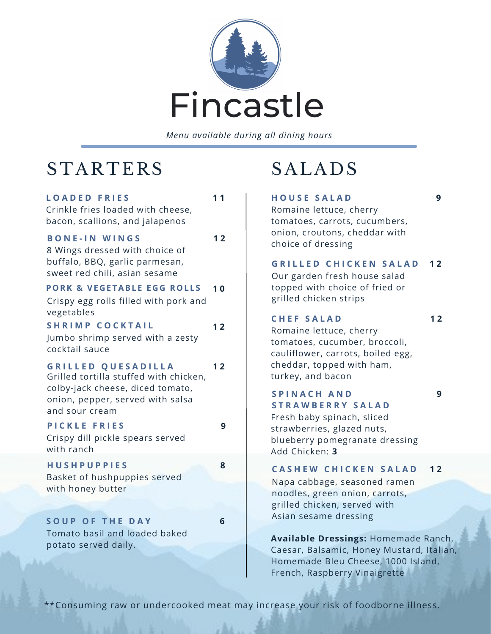

*Menu available during all dining hours*

# **STARTERS**

#### Crinkle fries loaded with cheese, bacon, scallions, and jalapenos **L O A D E D F R I E S**

**1 1**

**1 2**

#### 8 Wings dressed with choice of buffalo, BBQ, garlic parmesan, **B O N E - I N W I N G S**

sweet red chili, asian sesame

#### **PORK & VEGETABLE EGG ROLLS 1 0**

Crispy egg rolls filled with pork and vegetables

### **S H R I M P C O C K T A I L 1 2**

Jumbo shrimp served with a zesty cocktail sauce

#### **G R I L L E D Q U E S A D I L L A 1 2**

Grilled tortilla stuffed with chicken, colby-jack cheese, diced tomato, onion, pepper, served with salsa and sour cream

### **P I C K L E F R I E S**

**9**

Crispy dill pickle spears served with ranch

### **H U S H P U P P I E S**

**8**

Basket of hushpuppies served with honey butter

**S O U P O F T H E D A Y** Tomato basil and loaded baked potato served daily.

### **6**

# SALADS

**H O U S E S A L A D**

**9**

Romaine lettuce, cherry tomatoes, carrots, cucumbers, onion, croutons, cheddar with choice of dressing

Our garden fresh house salad topped with choice of fried or grilled chicken strips **G R I L L E D C H I C K E N S A L A D 1 2**

### **C H E F S A L A D**

**1 2**

**9**

Romaine lettuce, cherry tomatoes, cucumber, broccoli, cauliflower, carrots, boiled egg, cheddar, topped with ham, turkey, and bacon

#### **S P I N A C H A N D S T R A W B E R R Y S A L A D**

Fresh baby spinach, sliced strawberries, glazed nuts, blueberry pomegranate dressing Add Chicken: **3**

#### **C A S H E W C H I C K E N S A L A D 1 2**

Napa cabbage, seasoned ramen noodles, green onion, carrots, grilled chicken, served with Asian sesame dressing

**Available Dressings:** Homemade Ranch, Caesar, Balsamic, Honey Mustard, Italian, Homemade Bleu Cheese, 1000 Island, French, Raspberry Vinaigrette

\*\*Consuming raw or undercooked meat may increase your risk of foodborne illness.